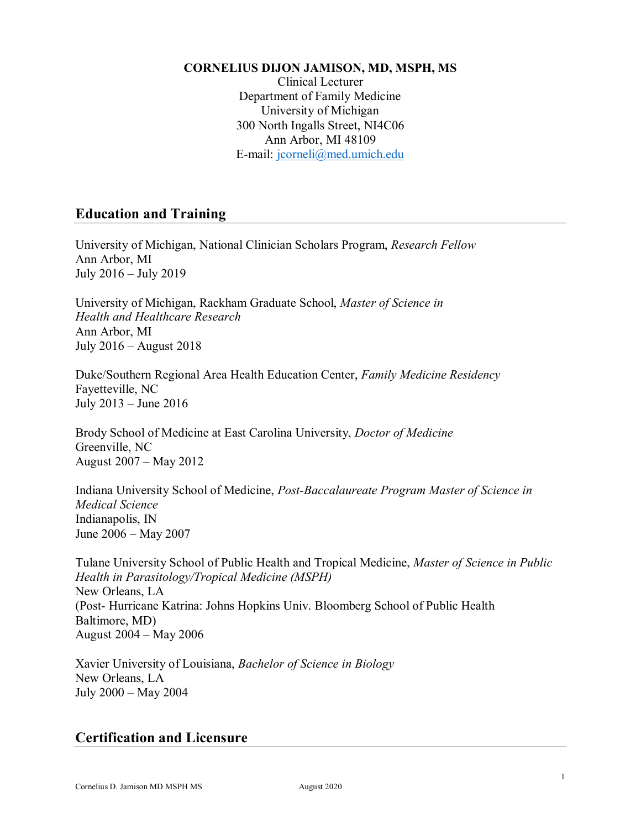#### **CORNELIUS DIJON JAMISON, MD, MSPH, MS**

Clinical Lecturer Department of Family Medicine University of Michigan 300 North Ingalls Street, NI4C06 Ann Arbor, MI 48109 E-mail: [jcorneli@med.umich.edu](mailto:jcorneli@med.umich.edu)

## **Education and Training**

University of Michigan, National Clinician Scholars Program, *Research Fellow* Ann Arbor, MI July 2016 – July 2019

University of Michigan, Rackham Graduate School, *Master of Science in Health and Healthcare Research* Ann Arbor, MI July 2016 – August 2018

Duke/Southern Regional Area Health Education Center, *Family Medicine Residency* Fayetteville, NC July 2013 – June 2016

Brody School of Medicine at East Carolina University, *Doctor of Medicine* Greenville, NC August 2007 – May 2012

Indiana University School of Medicine, *Post-Baccalaureate Program Master of Science in Medical Science* Indianapolis, IN June 2006 – May 2007

Tulane University School of Public Health and Tropical Medicine, *Master of Science in Public Health in Parasitology/Tropical Medicine (MSPH)* New Orleans, LA (Post- Hurricane Katrina: Johns Hopkins Univ. Bloomberg School of Public Health Baltimore, MD) August 2004 – May 2006

Xavier University of Louisiana, *Bachelor of Science in Biology* New Orleans, LA July 2000 – May 2004

# **Certification and Licensure**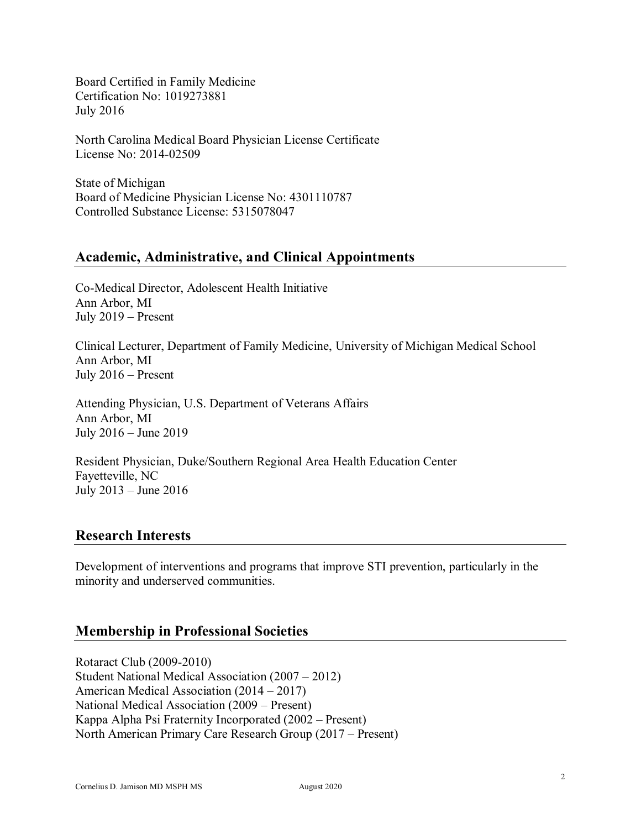Board Certified in Family Medicine Certification No: 1019273881 July 2016

North Carolina Medical Board Physician License Certificate License No: 2014-02509

State of Michigan Board of Medicine Physician License No: 4301110787 Controlled Substance License: 5315078047

## **Academic, Administrative, and Clinical Appointments**

Co-Medical Director, Adolescent Health Initiative Ann Arbor, MI July 2019 – Present

Clinical Lecturer, Department of Family Medicine, University of Michigan Medical School Ann Arbor, MI July 2016 – Present

Attending Physician, U.S. Department of Veterans Affairs Ann Arbor, MI July 2016 – June 2019

Resident Physician, Duke/Southern Regional Area Health Education Center Fayetteville, NC July 2013 – June 2016

## **Research Interests**

Development of interventions and programs that improve STI prevention, particularly in the minority and underserved communities.

# **Membership in Professional Societies**

Rotaract Club (2009-2010) Student National Medical Association (2007 – 2012) American Medical Association (2014 – 2017) National Medical Association (2009 – Present) Kappa Alpha Psi Fraternity Incorporated (2002 – Present) North American Primary Care Research Group (2017 – Present)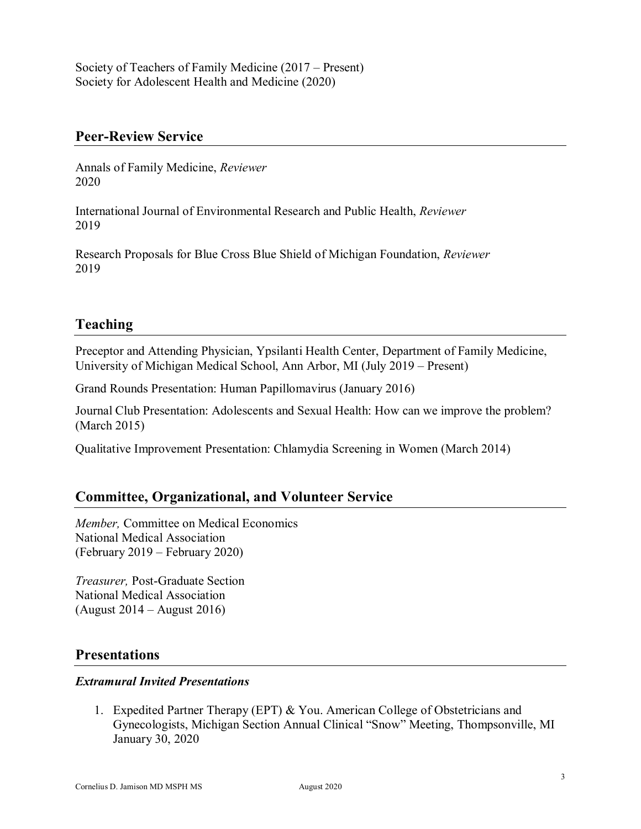Society of Teachers of Family Medicine (2017 – Present) Society for Adolescent Health and Medicine (2020)

#### **Peer-Review Service**

Annals of Family Medicine, *Reviewer* 2020

International Journal of Environmental Research and Public Health, *Reviewer* 2019

Research Proposals for Blue Cross Blue Shield of Michigan Foundation, *Reviewer* 2019

## **Teaching**

Preceptor and Attending Physician, Ypsilanti Health Center, Department of Family Medicine, University of Michigan Medical School, Ann Arbor, MI (July 2019 – Present)

Grand Rounds Presentation: Human Papillomavirus (January 2016)

Journal Club Presentation: Adolescents and Sexual Health: How can we improve the problem? (March 2015)

Qualitative Improvement Presentation: Chlamydia Screening in Women (March 2014)

## **Committee, Organizational, and Volunteer Service**

*Member,* Committee on Medical Economics National Medical Association (February 2019 – February 2020)

*Treasurer,* Post-Graduate Section National Medical Association (August 2014 – August 2016)

#### **Presentations**

#### *Extramural Invited Presentations*

1. Expedited Partner Therapy (EPT) & You. American College of Obstetricians and Gynecologists, Michigan Section Annual Clinical "Snow" Meeting, Thompsonville, MI January 30, 2020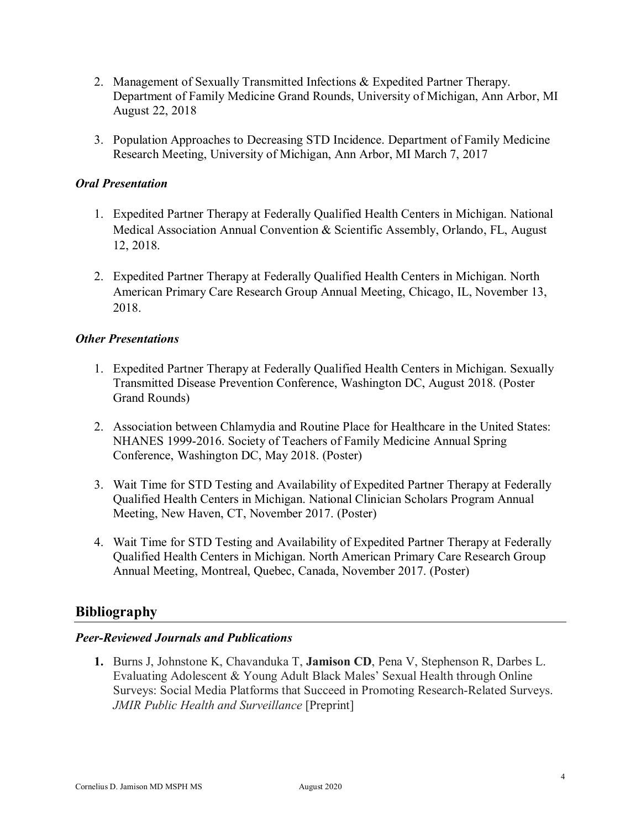- 2. Management of Sexually Transmitted Infections & Expedited Partner Therapy. Department of Family Medicine Grand Rounds, University of Michigan, Ann Arbor, MI August 22, 2018
- 3. Population Approaches to Decreasing STD Incidence. Department of Family Medicine Research Meeting, University of Michigan, Ann Arbor, MI March 7, 2017

#### *Oral Presentation*

- 1. Expedited Partner Therapy at Federally Qualified Health Centers in Michigan. National Medical Association Annual Convention & Scientific Assembly, Orlando, FL, August 12, 2018.
- 2. Expedited Partner Therapy at Federally Qualified Health Centers in Michigan. North American Primary Care Research Group Annual Meeting, Chicago, IL, November 13, 2018.

### *Other Presentations*

- 1. Expedited Partner Therapy at Federally Qualified Health Centers in Michigan. Sexually Transmitted Disease Prevention Conference, Washington DC, August 2018. (Poster Grand Rounds)
- 2. Association between Chlamydia and Routine Place for Healthcare in the United States: NHANES 1999-2016. Society of Teachers of Family Medicine Annual Spring Conference, Washington DC, May 2018. (Poster)
- 3. Wait Time for STD Testing and Availability of Expedited Partner Therapy at Federally Qualified Health Centers in Michigan. National Clinician Scholars Program Annual Meeting, New Haven, CT, November 2017. (Poster)
- 4. Wait Time for STD Testing and Availability of Expedited Partner Therapy at Federally Qualified Health Centers in Michigan. North American Primary Care Research Group Annual Meeting, Montreal, Quebec, Canada, November 2017. (Poster)

## **Bibliography**

## *Peer-Reviewed Journals and Publications*

**1.** Burns J, Johnstone K, Chavanduka T, **Jamison CD**, Pena V, Stephenson R, Darbes L. Evaluating Adolescent & Young Adult Black Males' Sexual Health through Online Surveys: Social Media Platforms that Succeed in Promoting Research-Related Surveys. *JMIR Public Health and Surveillance* [Preprint]